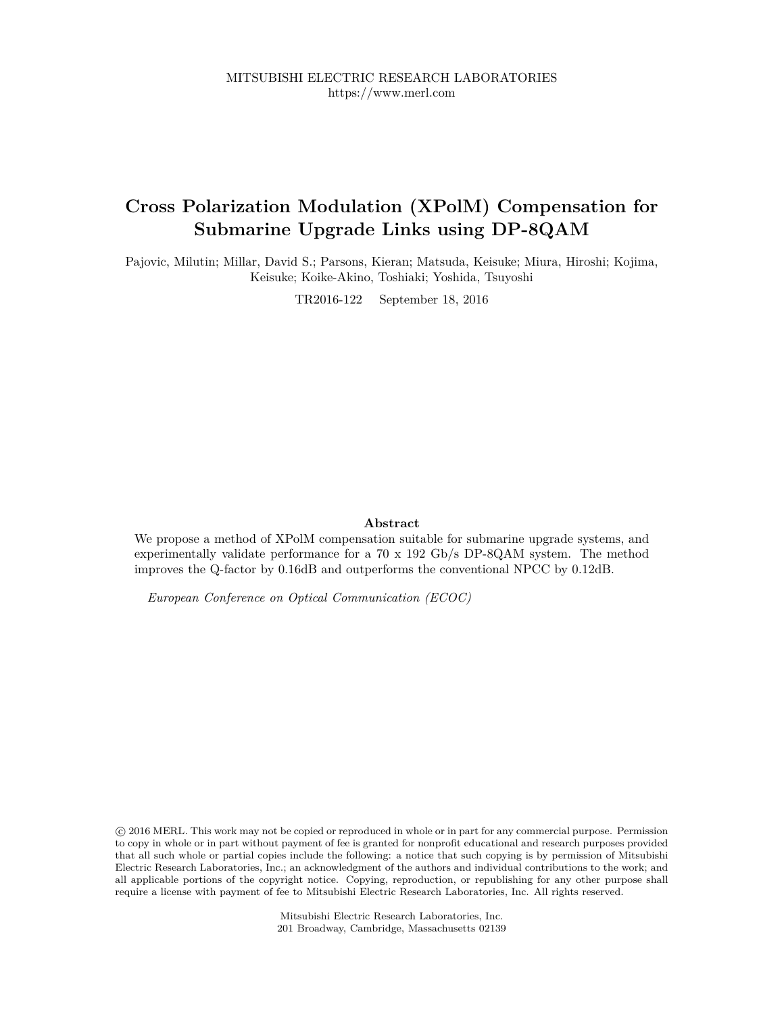## **Cross Polarization Modulation (XPolM) Compensation for Submarine Upgrade Links using DP-8QAM**

Pajovic, Milutin; Millar, David S.; Parsons, Kieran; Matsuda, Keisuke; Miura, Hiroshi; Kojima, Keisuke; Koike-Akino, Toshiaki; Yoshida, Tsuyoshi

TR2016-122 September 18, 2016

#### **Abstract**

We propose a method of XPolM compensation suitable for submarine upgrade systems, and experimentally validate performance for a 70 x 192 Gb/s DP-8QAM system. The method improves the Q-factor by 0.16dB and outperforms the conventional NPCC by 0.12dB.

*European Conference on Optical Communication (ECOC)*

 c 2016 MERL. This work may not be copied or reproduced in whole or in part for any commercial purpose. Permission to copy in whole or in part without payment of fee is granted for nonprofit educational and research purposes provided that all such whole or partial copies include the following: a notice that such copying is by permission of Mitsubishi Electric Research Laboratories, Inc.; an acknowledgment of the authors and individual contributions to the work; and all applicable portions of the copyright notice. Copying, reproduction, or republishing for any other purpose shall require a license with payment of fee to Mitsubishi Electric Research Laboratories, Inc. All rights reserved.

> Mitsubishi Electric Research Laboratories, Inc. 201 Broadway, Cambridge, Massachusetts 02139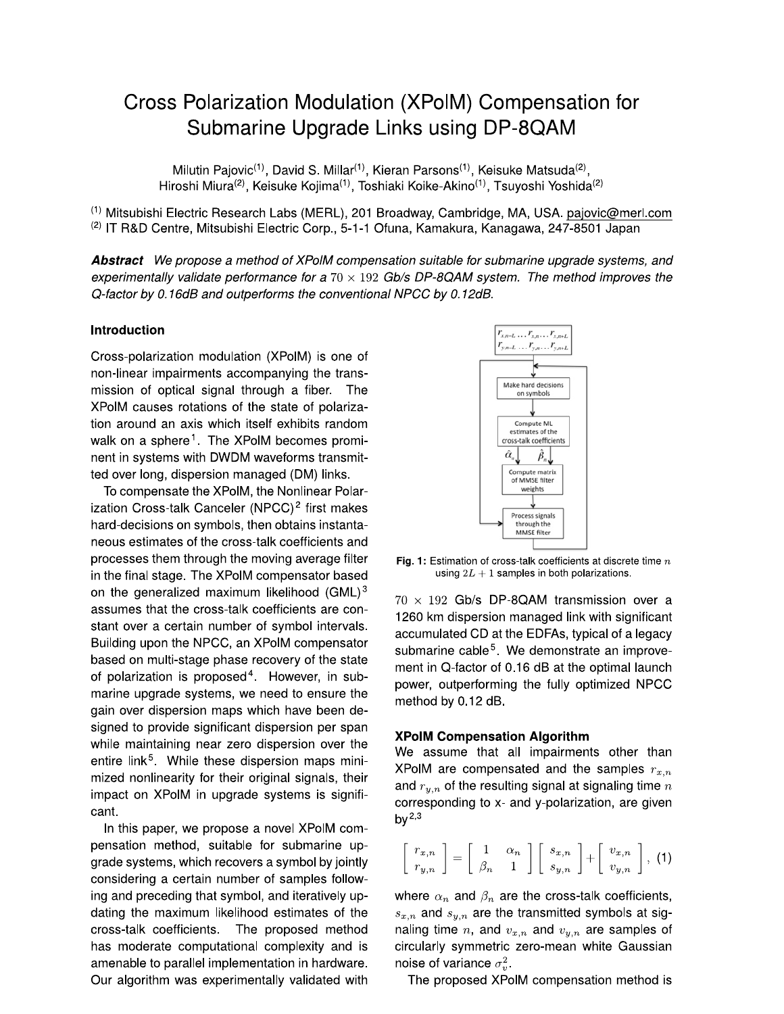# Cross Polarization Modulation (XPoIM) Compensation for Submarine Upgrade Links using DP-8QAM

Milutin Pajovic<sup>(1)</sup>, David S. Millar<sup>(1)</sup>, Kieran Parsons<sup>(1)</sup>, Keisuke Matsuda<sup>(2)</sup>, Hiroshi Miura<sup>(2)</sup>, Keisuke Kojima<sup>(1)</sup>, Toshiaki Koike-Akino<sup>(1)</sup>, Tsuyoshi Yoshida<sup>(2)</sup>

(1) Mitsubishi Electric Research Labs (MERL), 201 Broadway, Cambridge, MA, USA. pajovic@merl.com <sup>(2)</sup> IT R&D Centre, Mitsubishi Electric Corp., 5-1-1 Ofuna, Kamakura, Kanagawa, 247-8501 Japan

Abstract We propose a method of XPolM compensation suitable for submarine upgrade systems, and experimentally validate performance for a  $70 \times 192$  Gb/s DP-8QAM system. The method improves the Q-factor by 0.16dB and outperforms the conventional NPCC by 0.12dB.

## Introduction

Cross-polarization modulation (XPolM) is one of non-linear impairments accompanying the transmission of optical signal through a fiber. The XPoIM causes rotations of the state of polarization around an axis which itself exhibits random walk on a sphere<sup>1</sup>. The XPoIM becomes prominent in systems with DWDM waveforms transmitted over long, dispersion managed (DM) links.

To compensate the XPoIM, the Nonlinear Polarization Cross-talk Canceler (NPCC)<sup>2</sup> first makes hard-decisions on symbols, then obtains instantaneous estimates of the cross-talk coefficients and processes them through the moving average filter in the final stage. The XPoIM compensator based on the generalized maximum likelihood (GML)<sup>3</sup> assumes that the cross-talk coefficients are constant over a certain number of symbol intervals. Building upon the NPCC, an XPolM compensator based on multi-stage phase recovery of the state of polarization is proposed<sup>4</sup>. However, in submarine upgrade systems, we need to ensure the gain over dispersion maps which have been designed to provide significant dispersion per span while maintaining near zero dispersion over the entire link<sup>5</sup>. While these dispersion maps minimized nonlinearity for their original signals, their impact on XPoIM in upgrade systems is significant.

In this paper, we propose a novel XPoIM compensation method, suitable for submarine upgrade systems, which recovers a symbol by jointly considering a certain number of samples following and preceding that symbol, and iteratively updating the maximum likelihood estimates of the cross-talk coefficients. The proposed method has moderate computational complexity and is amenable to parallel implementation in hardware. Our algorithm was experimentally validated with



Fig. 1: Estimation of cross-talk coefficients at discrete time  $n$ using  $2L + 1$  samples in both polarizations.

 $70 \times 192$  Gb/s DP-8QAM transmission over a 1260 km dispersion managed link with significant accumulated CD at the EDFAs, typical of a legacy submarine cable<sup>5</sup>. We demonstrate an improvement in Q-factor of 0.16 dB at the optimal launch power, outperforming the fully optimized NPCC method by 0.12 dB.

#### **XPolM Compensation Algorithm**

We assume that all impairments other than XPoIM are compensated and the samples  $r_{x,n}$ and  $r_{u,n}$  of the resulting signal at signaling time  $n$ corresponding to x- and y-polarization, are given by  $^{2,3}$ 

$$
\left[\begin{array}{c}r_{x,n} \\ r_{y,n}\end{array}\right] = \left[\begin{array}{cc}1 & \alpha_n \\ \beta_n & 1\end{array}\right] \left[\begin{array}{c}s_{x,n} \\ s_{y,n}\end{array}\right] + \left[\begin{array}{c}v_{x,n} \\ v_{y,n}\end{array}\right], (1)
$$

where  $\alpha_n$  and  $\beta_n$  are the cross-talk coefficients,  $s_{x,n}$  and  $s_{y,n}$  are the transmitted symbols at signaling time n, and  $v_{x,n}$  and  $v_{y,n}$  are samples of circularly symmetric zero-mean white Gaussian noise of variance  $\sigma_v^2$ .

The proposed XPoIM compensation method is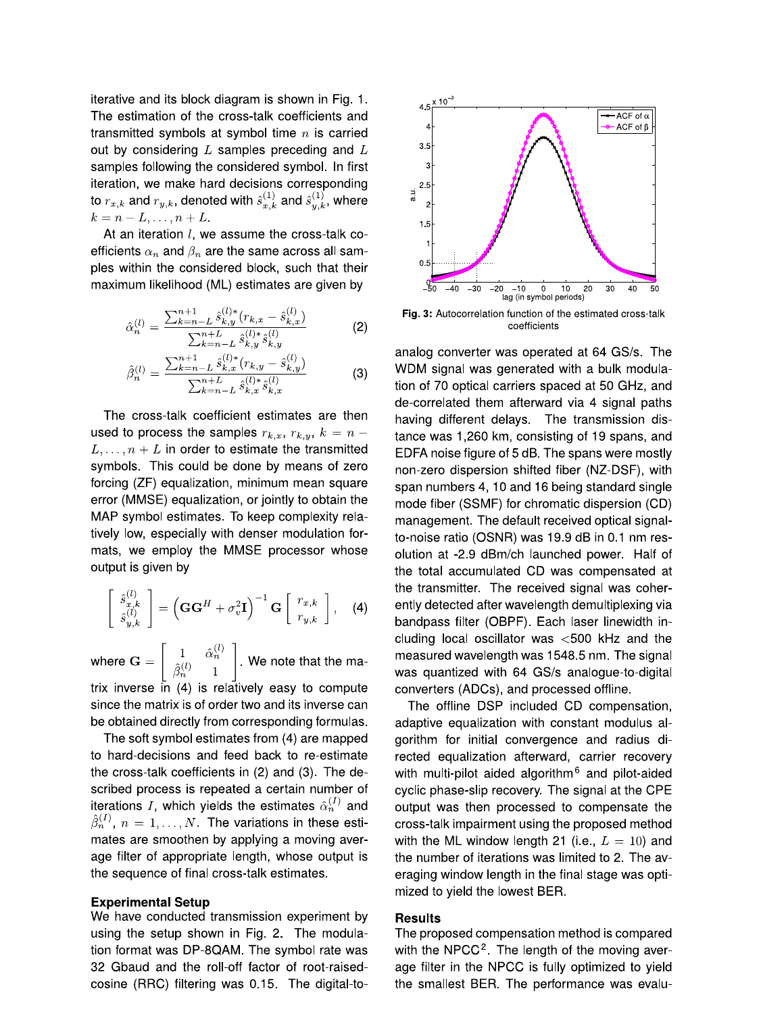iterative and its block diagram is shown in Fig. 1. The estimation of the cross-talk coefficients and transmitted symbols at symbol time  $n$  is carried out by considering  $L$  samples preceding and  $L$ samples following the considered symbol. In first iteration, we make hard decisions corresponding to  $r_{x,k}$  and  $r_{y,k}$ , denoted with  $\hat{s}_{x,k}^{(1)}$  and  $\hat{s}_{y,k}^{(1)}$ , where  $k = n - L, \ldots, n + L.$ 

At an iteration l, we assume the cross-talk coefficients  $\alpha_n$  and  $\beta_n$  are the same across all samples within the considered block, such that their maximum likelihood (ML) estimates are given by

$$
\hat{\alpha}_n^{(l)} = \frac{\sum_{k=n-L}^{n+1} \hat{s}_{k,y}^{(l)*}(r_{k,x} - \hat{s}_{k,x}^{(l)})}{\sum_{k=n-L}^{n+L} \hat{s}_{k,y}^{(l)*}\hat{s}_{k,y}^{(l)}}\tag{2}
$$

$$
\hat{\beta}_n^{(l)} = \frac{\sum_{k=n-L}^{n+1} \hat{s}_{k,x}^{(l)*} (r_{k,y} - \hat{s}_{k,y}^{(l)})}{\sum_{k=n-L}^{n+L} \hat{s}_{k,x}^{(l)*} \hat{s}_{k,x}^{(l)}} \tag{3}
$$

The cross-talk coefficient estimates are then used to process the samples  $r_{k,x}$ ,  $r_{k,y}$ ,  $k = n L, \ldots, n + L$  in order to estimate the transmitted symbols. This could be done by means of zero forcing (ZF) equalization, minimum mean square error (MMSE) equalization, or jointly to obtain the MAP symbol estimates. To keep complexity relatively low, especially with denser modulation formats, we employ the MMSE processor whose output is given by

$$
\begin{bmatrix}\n\hat{s}_{x,k}^{(l)} \\
\hat{s}_{y,k}^{(l)}\n\end{bmatrix} = \left(\mathbf{G}\mathbf{G}^H + \sigma_v^2 \mathbf{I}\right)^{-1} \mathbf{G} \begin{bmatrix}\nr_{x,k} \\
r_{y,k}\n\end{bmatrix},
$$
\n(4)

where  $\mathbf{G} = \begin{bmatrix} 1 & \hat{\alpha}_n^{(l)} \\ \hat{\beta}_n^{(l)} & 1 \end{bmatrix}$ . We note that the matrix inverse in (4) is relatively easy to compute since the matrix is of order two and its inverse can be obtained directly from corresponding formulas.

The soft symbol estimates from (4) are mapped to hard-decisions and feed back to re-estimate the cross-talk coefficients in (2) and (3). The described process is repeated a certain number of iterations I, which yields the estimates  $\hat{\alpha}_n^{(1)}$  and  $\hat{\beta}_n^{(1)}$ ,  $n = 1, \ldots, N$ . The variations in these estimates are smoothen by applying a moving average filter of appropriate length, whose output is the sequence of final cross-talk estimates.

#### **Experimental Setup**

We have conducted transmission experiment by using the setup shown in Fig. 2. The modulation format was DP-8QAM. The symbol rate was 32 Gbaud and the roll-off factor of root-raisedcosine (RRC) filtering was 0.15. The digital-to-



Fig. 3: Autocorrelation function of the estimated cross-talk coefficients

analog converter was operated at 64 GS/s. The WDM signal was generated with a bulk modulation of 70 optical carriers spaced at 50 GHz, and de-correlated them afterward via 4 signal paths having different delays. The transmission distance was 1,260 km, consisting of 19 spans, and EDFA noise figure of 5 dB. The spans were mostly non-zero dispersion shifted fiber (NZ-DSF), with span numbers 4, 10 and 16 being standard single mode fiber (SSMF) for chromatic dispersion (CD) management. The default received optical signalto-noise ratio (OSNR) was 19.9 dB in 0.1 nm resolution at -2.9 dBm/ch launched power. Half of the total accumulated CD was compensated at the transmitter. The received signal was coherently detected after wavelength demultiplexing via bandpass filter (OBPF). Each laser linewidth including local oscillator was  $<$ 500 kHz and the measured wavelength was 1548.5 nm. The signal was quantized with 64 GS/s analogue-to-digital converters (ADCs), and processed offline.

The offline DSP included CD compensation, adaptive equalization with constant modulus algorithm for initial convergence and radius directed equalization afterward, carrier recovery with multi-pilot aided algorithm<sup>6</sup> and pilot-aided cyclic phase-slip recovery. The signal at the CPE output was then processed to compensate the cross-talk impairment using the proposed method with the ML window length 21 (i.e.,  $L = 10$ ) and the number of iterations was limited to 2. The averaging window length in the final stage was optimized to yield the lowest BER.

#### **Results**

The proposed compensation method is compared with the  $NPCC<sup>2</sup>$ . The length of the moving average filter in the NPCC is fully optimized to yield the smallest BER. The performance was evalu-